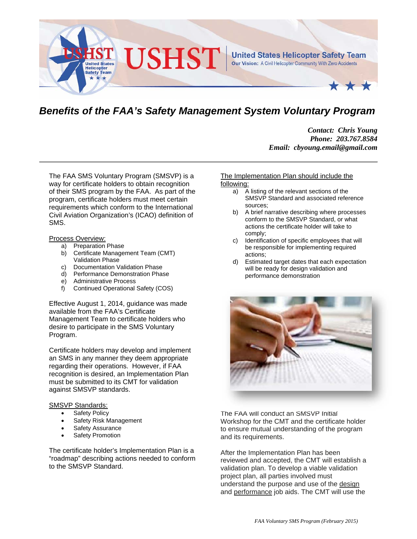

# *Benefits of the FAA's Safety Management System Voluntary Program*

*Contact: Chris Young Phone: 203.767.8584 Email: cbyoung.email@gmail.com* 

The FAA SMS Voluntary Program (SMSVP) is a way for certificate holders to obtain recognition of their SMS program by the FAA. As part of the program, certificate holders must meet certain requirements which conform to the International Civil Aviation Organization's (ICAO) definition of SMS.

#### Process Overview:

- a) Preparation Phase
- b) Certificate Management Team (CMT) Validation Phase
- c) Documentation Validation Phase
- d) Performance Demonstration Phase
- e) Administrative Process
- f) Continued Operational Safety (COS)

Effective August 1, 2014, guidance was made available from the FAA's Certificate Management Team to certificate holders who desire to participate in the SMS Voluntary Program.

Certificate holders may develop and implement an SMS in any manner they deem appropriate regarding their operations. However, if FAA recognition is desired, an Implementation Plan must be submitted to its CMT for validation against SMSVP standards.

## SMSVP Standards:

- Safety Policy
- Safety Risk Management
- Safety Assurance
- Safety Promotion

The certificate holder's Implementation Plan is a "roadmap" describing actions needed to conform to the SMSVP Standard.

### The Implementation Plan should include the following:

- a) A listing of the relevant sections of the SMSVP Standard and associated reference sources;
- b) A brief narrative describing where processes conform to the SMSVP Standard, or what actions the certificate holder will take to comply;
- c) Identification of specific employees that will be responsible for implementing required actions;
- d) Estimated target dates that each expectation will be ready for design validation and performance demonstration



The FAA will conduct an SMSVP Initial Workshop for the CMT and the certificate holder to ensure mutual understanding of the program and its requirements.

After the Implementation Plan has been reviewed and accepted, the CMT will establish a validation plan. To develop a viable validation project plan, all parties involved must understand the purpose and use of the design and performance job aids. The CMT will use the